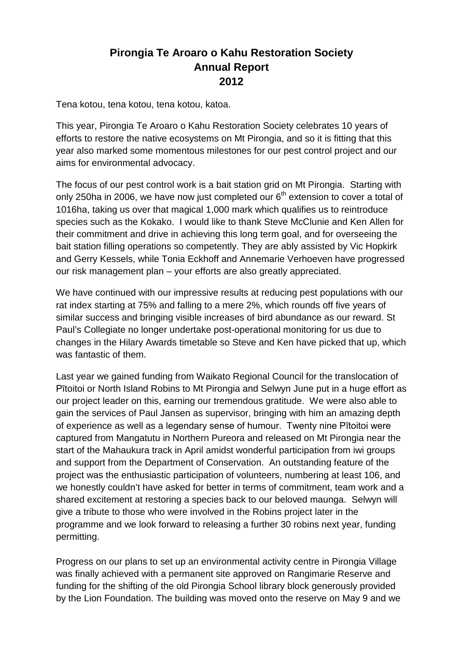## **Pirongia Te Aroaro o Kahu Restoration Society Annual Report 2012**

Tena kotou, tena kotou, tena kotou, katoa.

This year, Pirongia Te Aroaro o Kahu Restoration Society celebrates 10 years of efforts to restore the native ecosystems on Mt Pirongia, and so it is fitting that this year also marked some momentous milestones for our pest control project and our aims for environmental advocacy.

The focus of our pest control work is a bait station grid on Mt Pirongia. Starting with only 250ha in 2006, we have now just completed our  $6<sup>th</sup>$  extension to cover a total of 1016ha, taking us over that magical 1,000 mark which qualifies us to reintroduce species such as the Kokako. I would like to thank Steve McClunie and Ken Allen for their commitment and drive in achieving this long term goal, and for overseeing the bait station filling operations so competently. They are ably assisted by Vic Hopkirk and Gerry Kessels, while Tonia Eckhoff and Annemarie Verhoeven have progressed our risk management plan – your efforts are also greatly appreciated.

We have continued with our impressive results at reducing pest populations with our rat index starting at 75% and falling to a mere 2%, which rounds off five years of similar success and bringing visible increases of bird abundance as our reward. St Paul's Collegiate no longer undertake post-operational monitoring for us due to changes in the Hilary Awards timetable so Steve and Ken have picked that up, which was fantastic of them.

Last year we gained funding from Waikato Regional Council for the translocation of Pītoitoi or North Island Robins to Mt Pirongia and Selwyn June put in a huge effort as our project leader on this, earning our tremendous gratitude. We were also able to gain the services of Paul Jansen as supervisor, bringing with him an amazing depth of experience as well as a legendary sense of humour. Twenty nine Pītoitoi were captured from Mangatutu in Northern Pureora and released on Mt Pirongia near the start of the Mahaukura track in April amidst wonderful participation from iwi groups and support from the Department of Conservation. An outstanding feature of the project was the enthusiastic participation of volunteers, numbering at least 106, and we honestly couldn't have asked for better in terms of commitment, team work and a shared excitement at restoring a species back to our beloved maunga. Selwyn will give a tribute to those who were involved in the Robins project later in the programme and we look forward to releasing a further 30 robins next year, funding permitting.

Progress on our plans to set up an environmental activity centre in Pirongia Village was finally achieved with a permanent site approved on Rangimarie Reserve and funding for the shifting of the old Pirongia School library block generously provided by the Lion Foundation. The building was moved onto the reserve on May 9 and we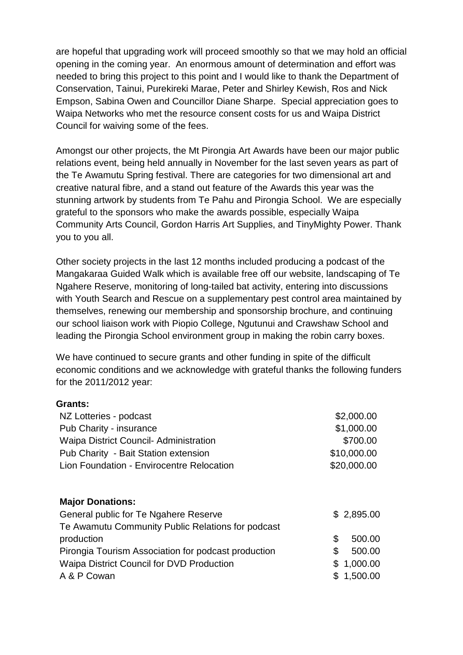are hopeful that upgrading work will proceed smoothly so that we may hold an official opening in the coming year. An enormous amount of determination and effort was needed to bring this project to this point and I would like to thank the Department of Conservation, Tainui, Purekireki Marae, Peter and Shirley Kewish, Ros and Nick Empson, Sabina Owen and Councillor Diane Sharpe. Special appreciation goes to Waipa Networks who met the resource consent costs for us and Waipa District Council for waiving some of the fees.

Amongst our other projects, the Mt Pirongia Art Awards have been our major public relations event, being held annually in November for the last seven years as part of the Te Awamutu Spring festival. There are categories for two dimensional art and creative natural fibre, and a stand out feature of the Awards this year was the stunning artwork by students from Te Pahu and Pirongia School. We are especially grateful to the sponsors who make the awards possible, especially Waipa Community Arts Council, Gordon Harris Art Supplies, and TinyMighty Power. Thank you to you all.

Other society projects in the last 12 months included producing a podcast of the Mangakaraa Guided Walk which is available free off our website, landscaping of Te Ngahere Reserve, monitoring of long-tailed bat activity, entering into discussions with Youth Search and Rescue on a supplementary pest control area maintained by themselves, renewing our membership and sponsorship brochure, and continuing our school liaison work with Piopio College, Ngutunui and Crawshaw School and leading the Pirongia School environment group in making the robin carry boxes.

We have continued to secure grants and other funding in spite of the difficult economic conditions and we acknowledge with grateful thanks the following funders for the 2011/2012 year:

## **Grants:**

| NZ Lotteries - podcast                              | \$2,000.00   |
|-----------------------------------------------------|--------------|
| Pub Charity - insurance                             | \$1,000.00   |
| <b>Waipa District Council-Administration</b>        | \$700.00     |
| Pub Charity - Bait Station extension                | \$10,000.00  |
| Lion Foundation - Envirocentre Relocation           | \$20,000.00  |
|                                                     |              |
| <b>Major Donations:</b>                             |              |
| General public for Te Ngahere Reserve               | \$2,895.00   |
| Te Awamutu Community Public Relations for podcast   |              |
| production                                          | \$<br>500.00 |
| Pirongia Tourism Association for podcast production | \$<br>500.00 |
| Waipa District Council for DVD Production           | \$1,000.00   |
| A & P Cowan                                         | \$1,500.00   |